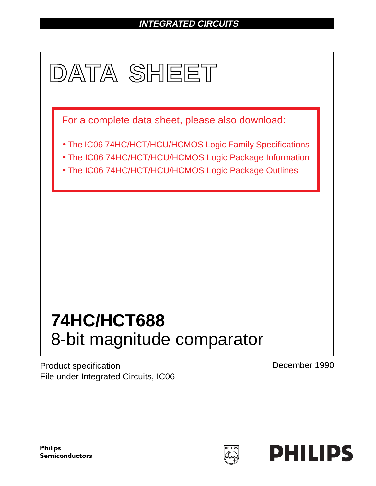# **INTEGRATED CIRCUITS**



Product specification File under Integrated Circuits, IC06 December 1990

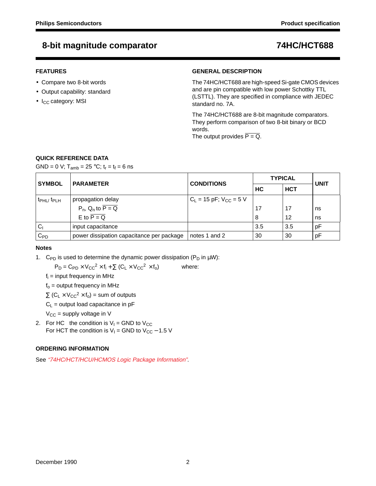## **8-bit magnitude comparator 74HC/HCT688**

## **FEATURES**

- Compare two 8-bit words
- Output capability: standard
- I<sub>CC</sub> category: MSI

## **GENERAL DESCRIPTION**

The 74HC/HCT688 are high-speed Si-gate CMOS devices and are pin compatible with low power Schottky TTL (LSTTL). They are specified in compliance with JEDEC standard no. 7A.

The 74HC/HCT688 are 8-bit magnitude comparators. They perform comparison of two 8-bit binary or BCD words.

The output provides  $\overline{P} = \overline{Q}$ .

## **QUICK REFERENCE DATA**

GND = 0 V;  $T_{amb}$  = 25 °C;  $t_r = t_f = 6$  ns

| <b>SYMBOL</b>                     | <b>PARAMETER</b>                                        | <b>CONDITIONS</b>             | <b>TYPICAL</b> | <b>UNIT</b> |    |  |
|-----------------------------------|---------------------------------------------------------|-------------------------------|----------------|-------------|----|--|
|                                   |                                                         |                               | НC             | <b>HCT</b>  |    |  |
| t <sub>PHL</sub> t <sub>PLH</sub> | propagation delay                                       | $C_L$ = 15 pF; $V_{CC}$ = 5 V |                |             |    |  |
|                                   | $P_n$ , Q <sub>n</sub> to $\overline{P} = \overline{Q}$ |                               | 17             | 17          | ns |  |
|                                   | E to $\overline{P} = \overline{Q}$                      |                               | 8              | 12          | ns |  |
| $\mathsf{C}_1$                    | input capacitance                                       |                               | 3.5            | 3.5         | рF |  |
| $\mathtt{C_{PD}}$                 | power dissipation capacitance per package               | notes 1 and 2                 | 30             | 30          | рF |  |

### **Notes**

1. C<sub>PD</sub> is used to determine the dynamic power dissipation ( $P_D$  in  $\mu W$ ):

 $P_D = C_{PD} \times V_{CC}^2 \times f_i + \sum (C_L \times V_{CC}^2 \times f_0)$  where:

 $f_i$  = input frequency in MHz

 $f<sub>o</sub>$  = output frequency in MHz

 $\Sigma$  (C<sub>L</sub> × V<sub>CC</sub><sup>2</sup> × f<sub>o</sub>) = sum of outputs

 $C_1$  = output load capacitance in pF

 $V_{CC}$  = supply voltage in V

2. For HC the condition is  $V_1$  = GND to  $V_{CC}$ For HCT the condition is  $V_1$  = GND to  $V_{CC}$  – 1.5 V

## **ORDERING INFORMATION**

See "74HC/HCT/HCU/HCMOS Logic Package Information".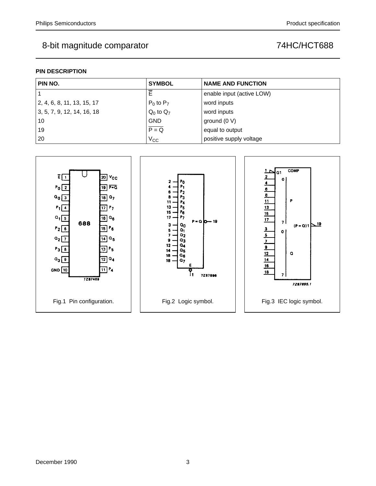## 8-bit magnitude comparator and the magnitude of the comparator of the magnitude of the magnitude of the magnitude of the magnitude of the magnitude of the magnitude of the magnitude of the magnitude of the magnitude of the

## **PIN DESCRIPTION**

| PIN NO.                    | <b>SYMBOL</b>  | <b>NAME AND FUNCTION</b>  |
|----------------------------|----------------|---------------------------|
|                            |                | enable input (active LOW) |
| 2, 4, 6, 8, 11, 13, 15, 17 | $P_0$ to $P_7$ | word inputs               |
| 3, 5, 7, 9, 12, 14, 16, 18 | $Q_0$ to $Q_7$ | word inputs               |
| 10                         | <b>GND</b>     | ground (0 V)              |
| 19                         | $P = Q$        | equal to output           |
| 20                         | $V_{CC}$       | positive supply voltage   |

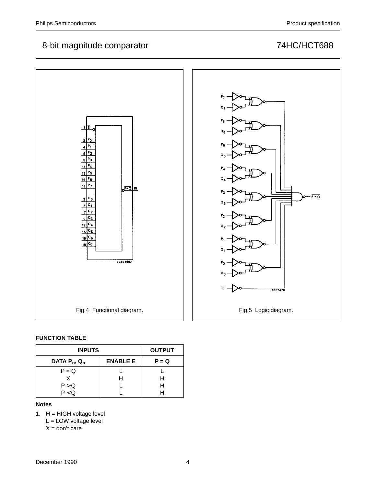# 8-bit magnitude comparator **74HC/HCT688**



## **FUNCTION TABLE**

| <b>INPUTS</b>      | <b>OUTPUT</b> |  |  |  |
|--------------------|---------------|--|--|--|
| DATA $P_n$ , $Q_n$ | $P = Q$       |  |  |  |
| $P = Q$            |               |  |  |  |
|                    |               |  |  |  |
| P > Q              |               |  |  |  |
| P < Q              |               |  |  |  |

## **Notes**

1.  $H = HIGH$  voltage level

L = LOW voltage level

 $X =$  don't care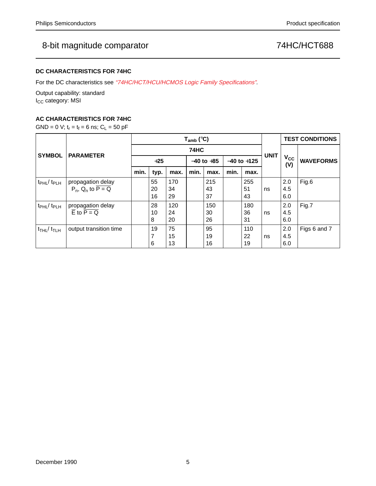## 8-bit magnitude comparator **74HC/HCT688**

## **DC CHARACTERISTICS FOR 74HC**

For the DC characteristics see "74HC/HCT/HCU/HCMOS Logic Family Specifications".

Output capability: standard I<sub>CC</sub> category: MSI

## **AC CHARACTERISTICS FOR 74HC**

GND = 0 V;  $t_r = t_f = 6$  ns;  $C_L = 50$  pF

|                                           | <b>PARAMETER</b>                                                             | $T_{amb}$ (°C) |                           |                 |      |                 |      |                 |                              | <b>TEST CONDITIONS</b> |              |
|-------------------------------------------|------------------------------------------------------------------------------|----------------|---------------------------|-----------------|------|-----------------|------|-----------------|------------------------------|------------------------|--------------|
| <b>SYMBOL</b>                             |                                                                              | <b>74HC</b>    |                           |                 |      |                 |      |                 |                              |                        |              |
|                                           |                                                                              | $+25$          |                           | $-40$ to $+85$  |      | $-40$ to $+125$ |      | <b>UNIT</b>     | <b>V<sub>cc</sub></b><br>(V) | <b>WAVEFORMS</b>       |              |
|                                           |                                                                              | min.           | typ.                      | max.            | min. | max.            | min. | max.            |                              |                        |              |
| $t_{\rm PHL}$ / $t_{\rm PLH}$             | propagation delay<br>$P_n$ , Q <sub>n</sub> to $\overline{P} = \overline{Q}$ |                | 55<br>20<br>16            | 170<br>34<br>29 |      | 215<br>43<br>37 |      | 255<br>51<br>43 | ns                           | 2.0<br>4.5<br>6.0      | Fig.6        |
| t <sub>PHL</sub> / t <sub>PLH</sub>       | propagation delay<br>E to $P = Q$                                            |                | 28<br>10<br>8             | 120<br>24<br>20 |      | 150<br>30<br>26 |      | 180<br>36<br>31 | ns                           | 2.0<br>4.5<br>6.0      | Fig.7        |
| $t$ <sub>THL</sub> $/$ $t$ <sub>TLH</sub> | output transition time                                                       |                | 19<br>$\overline{ }$<br>6 | 75<br>15<br>13  |      | 95<br>19<br>16  |      | 110<br>22<br>19 | ns                           | 2.0<br>4.5<br>6.0      | Figs 6 and 7 |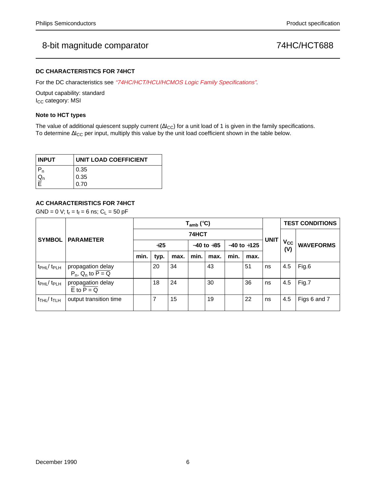## 8-bit magnitude comparator and the comparator of the T4HC/HCT688

## **DC CHARACTERISTICS FOR 74HCT**

For the DC characteristics see "74HC/HCT/HCU/HCMOS Logic Family Specifications".

Output capability: standard I<sub>CC</sub> category: MSI

### **Note to HCT types**

The value of additional quiescent supply current ( $\Delta I_{CC}$ ) for a unit load of 1 is given in the family specifications. To determine ∆I<sub>CC</sub> per input, multiply this value by the unit load coefficient shown in the table below.

| <b>INPUT</b>  | <b>UNIT LOAD COEFFICIENT</b> |  |  |  |  |  |
|---------------|------------------------------|--|--|--|--|--|
|               | 0.35                         |  |  |  |  |  |
| $\frac{u}{E}$ | 0.35                         |  |  |  |  |  |
|               | 0.70                         |  |  |  |  |  |

## **AC CHARACTERISTICS FOR 74HCT**

 $GND = 0$  V;  $t_r = t_f = 6$  ns;  $C_L = 50$  pF

|                                        | <b>PARAMETER</b>                                                             | $T_{amb}$ (°C) |      |      |                |      |                 |      | <b>UNIT</b> | <b>TEST CONDITIONS</b> |                  |
|----------------------------------------|------------------------------------------------------------------------------|----------------|------|------|----------------|------|-----------------|------|-------------|------------------------|------------------|
| <b>SYMBOL</b>                          |                                                                              | 74HCT          |      |      |                |      |                 |      |             |                        |                  |
|                                        |                                                                              | $+25$          |      |      | $-40$ to $+85$ |      | $-40$ to $+125$ |      |             | $V_{CC}$<br>(V)        | <b>WAVEFORMS</b> |
|                                        |                                                                              | min.           | typ. | max. | min.           | max. | min.            | max. |             |                        |                  |
| $t_{\rm PHL}$ / $t_{\rm PLH}$          | propagation delay<br>$P_n$ , Q <sub>n</sub> to $\overline{P} = \overline{Q}$ |                | 20   | 34   |                | 43   |                 | 51   | ns          | 4.5                    | Fig.6            |
| $t_{\rm PHL}$ / $t_{\rm PLH}$          | propagation delay<br>$\overline{E}$ to $\overline{P} = Q$                    |                | 18   | 24   |                | 30   |                 | 36   | ns          | 4.5                    | Fig.7            |
| $t$ <sub>THL</sub> $/t$ <sub>TLH</sub> | output transition time                                                       |                |      | 15   |                | 19   |                 | 22   | ns          | 4.5                    | Figs 6 and 7     |